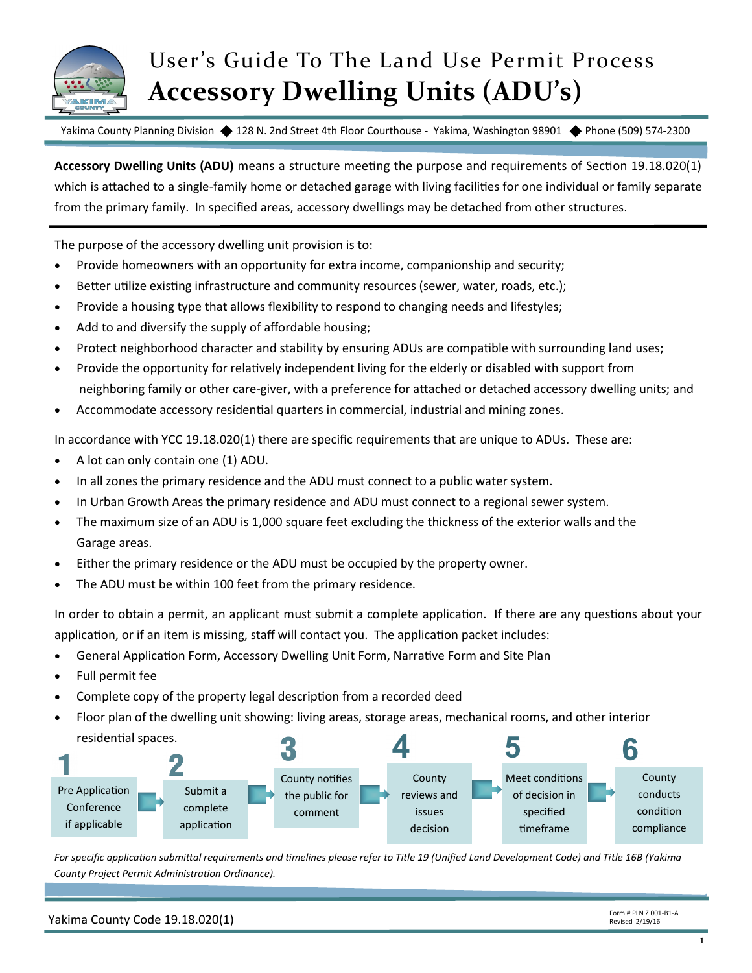

# User's Guide To The Land Use Permit Process **Accessory Dwelling Units (ADU's)**

Yakima County Planning Division ♦ 128 N. 2nd Street 4th Floor Courthouse - Yakima, Washington 98901 ♦ Phone (509) 574-2300

**Accessory Dwelling Units (ADU)** means a structure meeting the purpose and requirements of Section 19.18.020(1) which is attached to a single-family home or detached garage with living facilities for one individual or family separate from the primary family. In specified areas, accessory dwellings may be detached from other structures.

The purpose of the accessory dwelling unit provision is to:

- Provide homeowners with an opportunity for extra income, companionship and security;
- Better utilize existing infrastructure and community resources (sewer, water, roads, etc.);
- Provide a housing type that allows flexibility to respond to changing needs and lifestyles;
- Add to and diversify the supply of affordable housing;
- Protect neighborhood character and stability by ensuring ADUs are compatible with surrounding land uses;
- Provide the opportunity for relatively independent living for the elderly or disabled with support from neighboring family or other care-giver, with a preference for attached or detached accessory dwelling units; and
- Accommodate accessory residential quarters in commercial, industrial and mining zones.

In accordance with YCC 19.18.020(1) there are specific requirements that are unique to ADUs. These are:

- A lot can only contain one (1) ADU.
- In all zones the primary residence and the ADU must connect to a public water system.
- In Urban Growth Areas the primary residence and ADU must connect to a regional sewer system.
- The maximum size of an ADU is 1,000 square feet excluding the thickness of the exterior walls and the Garage areas.
- Either the primary residence or the ADU must be occupied by the property owner.
- The ADU must be within 100 feet from the primary residence.

In order to obtain a permit, an applicant must submit a complete application. If there are any questions about your application, or if an item is missing, staff will contact you. The application packet includes:

- General Application Form, Accessory Dwelling Unit Form, Narrative Form and Site Plan
- Full permit fee
- Complete copy of the property legal description from a recorded deed
- Floor plan of the dwelling unit showing: living areas, storage areas, mechanical rooms, and other interior residential spaces.



*For specific application submittal requirements and timelines please refer to Title 19 (Unified Land Development Code) and Title 16B (Yakima County Project Permit Administration Ordinance).*